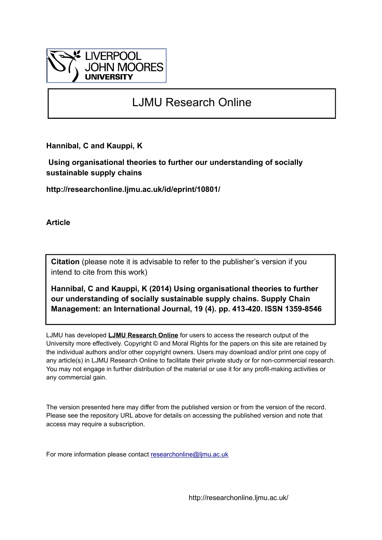

# LJMU Research Online

**Hannibal, C and Kauppi, K**

 **Using organisational theories to further our understanding of socially sustainable supply chains**

**http://researchonline.ljmu.ac.uk/id/eprint/10801/**

**Article**

**Citation** (please note it is advisable to refer to the publisher's version if you intend to cite from this work)

**Hannibal, C and Kauppi, K (2014) Using organisational theories to further our understanding of socially sustainable supply chains. Supply Chain Management: an International Journal, 19 (4). pp. 413-420. ISSN 1359-8546** 

LJMU has developed **[LJMU Research Online](http://researchonline.ljmu.ac.uk/)** for users to access the research output of the University more effectively. Copyright © and Moral Rights for the papers on this site are retained by the individual authors and/or other copyright owners. Users may download and/or print one copy of any article(s) in LJMU Research Online to facilitate their private study or for non-commercial research. You may not engage in further distribution of the material or use it for any profit-making activities or any commercial gain.

The version presented here may differ from the published version or from the version of the record. Please see the repository URL above for details on accessing the published version and note that access may require a subscription.

For more information please contact [researchonline@ljmu.ac.uk](mailto:researchonline@ljmu.ac.uk)

http://researchonline.ljmu.ac.uk/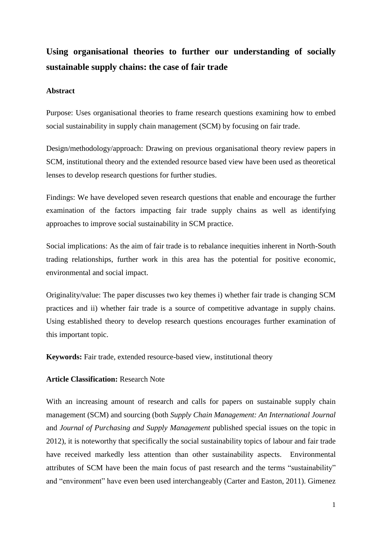## **Using organisational theories to further our understanding of socially sustainable supply chains: the case of fair trade**

## **Abstract**

Purpose: Uses organisational theories to frame research questions examining how to embed social sustainability in supply chain management (SCM) by focusing on fair trade.

Design/methodology/approach: Drawing on previous organisational theory review papers in SCM, institutional theory and the extended resource based view have been used as theoretical lenses to develop research questions for further studies.

Findings: We have developed seven research questions that enable and encourage the further examination of the factors impacting fair trade supply chains as well as identifying approaches to improve social sustainability in SCM practice.

Social implications: As the aim of fair trade is to rebalance inequities inherent in North-South trading relationships, further work in this area has the potential for positive economic, environmental and social impact.

Originality/value: The paper discusses two key themes i) whether fair trade is changing SCM practices and ii) whether fair trade is a source of competitive advantage in supply chains. Using established theory to develop research questions encourages further examination of this important topic.

**Keywords:** Fair trade, extended resource-based view, institutional theory

## **Article Classification:** Research Note

With an increasing amount of research and calls for papers on sustainable supply chain management (SCM) and sourcing (both *Supply Chain Management: An International Journal*  and *Journal of Purchasing and Supply Management* published special issues on the topic in 2012), it is noteworthy that specifically the social sustainability topics of labour and fair trade have received markedly less attention than other sustainability aspects. Environmental attributes of SCM have been the main focus of past research and the terms "sustainability" and "environment" have even been used interchangeably [\(Carter and Easton, 2011\)](#page-12-0). Gimenez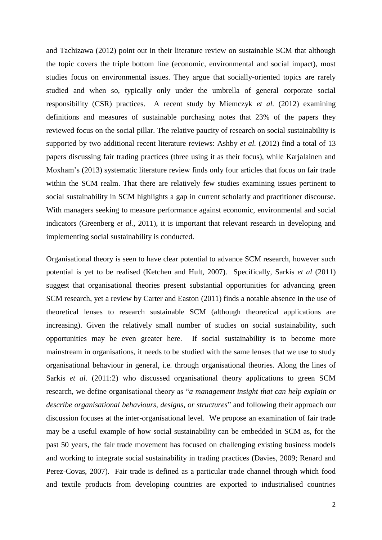and Tachizawa [\(2012\)](#page-12-1) point out in their literature review on sustainable SCM that although the topic covers the triple bottom line (economic, environmental and social impact), most studies focus on environmental issues. They argue that socially-oriented topics are rarely studied and when so, typically only under the umbrella of general corporate social responsibility (CSR) practices. A recent study by Miemczyk *et al.* [\(2012\)](#page-14-0) examining definitions and measures of sustainable purchasing notes that 23% of the papers they reviewed focus on the social pillar. The relative paucity of research on social sustainability is supported by two additional recent literature reviews: Ashby *et al.* [\(2012\)](#page-12-2) find a total of 13 papers discussing fair trading practices (three using it as their focus), while Karjalainen and Moxham's [\(2013\)](#page-13-0) systematic literature review finds only four articles that focus on fair trade within the SCM realm. That there are relatively few studies examining issues pertinent to social sustainability in SCM highlights a gap in current scholarly and practitioner discourse. With managers seeking to measure performance against economic, environmental and social indicators [\(Greenberg](#page-13-1) *et al.*, 2011), it is important that relevant research in developing and implementing social sustainability is conducted.

Organisational theory is seen to have clear potential to advance SCM research, however such potential is yet to be realised [\(Ketchen and Hult, 2007\)](#page-13-2). Specifically, Sarkis *et al* [\(2011\)](#page-14-1) suggest that organisational theories present substantial opportunities for advancing green SCM research, yet a review by Carter and Easton [\(2011\)](#page-12-0) finds a notable absence in the use of theoretical lenses to research sustainable SCM (although theoretical applications are increasing). Given the relatively small number of studies on social sustainability, such opportunities may be even greater here. If social sustainability is to become more mainstream in organisations, it needs to be studied with the same lenses that we use to study organisational behaviour in general, i.e. through organisational theories. Along the lines of Sarkis *et al.* [\(2011:2\)](#page-14-1) who discussed organisational theory applications to green SCM research, we define organisational theory as "*a management insight that can help explain or describe organisational behaviours, designs, or structures*" and following their approach our discussion focuses at the inter-organisational level. We propose an examination of fair trade may be a useful example of how social sustainability can be embedded in SCM as, for the past 50 years, the fair trade movement has focused on challenging existing business models and working to integrate social sustainability in trading practices [\(Davies, 2009;](#page-12-3) [Renard and](#page-14-2)  [Perez-Covas, 2007\)](#page-14-2). Fair trade is defined as a particular trade channel through which food and textile products from developing countries are exported to industrialised countries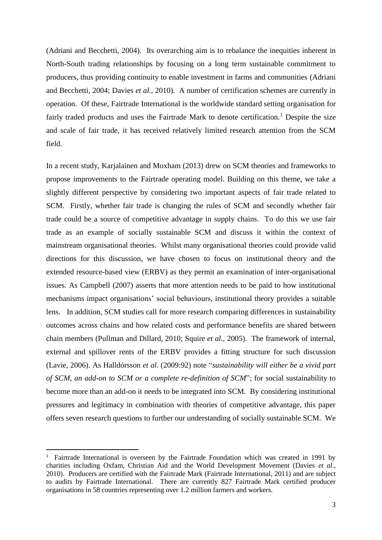[\(Adriani and Becchetti, 2004\)](#page-12-4). Its overarching aim is to rebalance the inequities inherent in North-South trading relationships by focusing on a long term sustainable commitment to producers, thus providing continuity to enable investment in farms and communities [\(Adriani](#page-12-4)  [and Becchetti, 2004;](#page-12-4) [Davies](#page-12-5) *et al.*, 2010). A number of certification schemes are currently in operation. Of these, Fairtrade International is the worldwide standard setting organisation for fairly traded products and uses the Fairtrade Mark to denote certification.<sup>1</sup> Despite the size and scale of fair trade, it has received relatively limited research attention from the SCM field.

In a recent study, Karjalainen and Moxham (2013) drew on SCM theories and frameworks to propose improvements to the Fairtrade operating model. Building on this theme, we take a slightly different perspective by considering two important aspects of fair trade related to SCM. Firstly, whether fair trade is changing the rules of SCM and secondly whether fair trade could be a source of competitive advantage in supply chains. To do this we use fair trade as an example of socially sustainable SCM and discuss it within the context of mainstream organisational theories. Whilst many organisational theories could provide valid directions for this discussion, we have chosen to focus on institutional theory and the extended resource-based view (ERBV) as they permit an examination of inter-organisational issues. As Campbell [\(2007\)](#page-12-6) asserts that more attention needs to be paid to how institutional mechanisms impact organisations' social behaviours, institutional theory provides a suitable lens. In addition, SCM studies call for more research comparing differences in sustainability outcomes across chains and how related costs and performance benefits are shared between chain members [\(Pullman and Dillard, 2010;](#page-14-3) [Squire](#page-14-4) *et al.*, 2005). The framework of internal, external and spillover rents of the ERBV provides a fitting structure for such discussion [\(Lavie, 2006\)](#page-13-3). As Halldórsson *et al*. [\(2009:92\)](#page-13-4) note "*sustainability will either be a vivid part of SCM, an add-on to SCM or a complete re-definition of SCM*"; for social sustainability to become more than an add-on it needs to be integrated into SCM. By considering institutional pressures and legitimacy in combination with theories of competitive advantage, this paper offers seven research questions to further our understanding of socially sustainable SCM. We

**.** 

<sup>&</sup>lt;sup>1</sup> Fairtrade International is overseen by the Fairtrade Foundation which was created in 1991 by charities including Oxfam, Christian Aid and the World Development Movement (Davies *et al*., 2010). Producers are certified with the Fairtrade Mark (Fairtrade International, 2011) and are subject to audits by Fairtrade International. There are currently 827 Fairtrade Mark certified producer organisations in 58 countries representing over 1.2 million farmers and workers.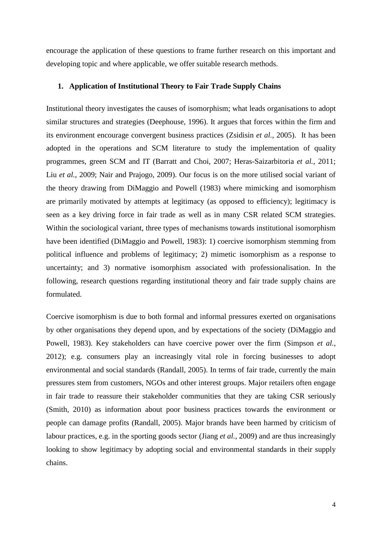encourage the application of these questions to frame further research on this important and developing topic and where applicable, we offer suitable research methods.

#### **1. Application of Institutional Theory to Fair Trade Supply Chains**

Institutional theory investigates the causes of isomorphism; what leads organisations to adopt similar structures and strategies [\(Deephouse, 1996\)](#page-12-7). It argues that forces within the firm and its environment encourage convergent business practices [\(Zsidisin](#page-15-0) *et al.*, 2005). It has been adopted in the operations and SCM literature to study the implementation of quality programmes, green SCM and IT [\(Barratt and Choi, 2007;](#page-12-8) [Heras-Saizarbitoria](#page-13-5) *et al.*, 2011; Liu *et al.*[, 2009;](#page-13-6) [Nair and Prajogo, 2009\)](#page-14-5). Our focus is on the more utilised social variant of the theory drawing from DiMaggio and Powell [\(1983\)](#page-12-9) where mimicking and isomorphism are primarily motivated by attempts at legitimacy (as opposed to efficiency); legitimacy is seen as a key driving force in fair trade as well as in many CSR related SCM strategies. Within the sociological variant, three types of mechanisms towards institutional isomorphism have been identified [\(DiMaggio and Powell, 1983\)](#page-12-9): 1) coercive isomorphism stemming from political influence and problems of legitimacy; 2) mimetic isomorphism as a response to uncertainty; and 3) normative isomorphism associated with professionalisation. In the following, research questions regarding institutional theory and fair trade supply chains are formulated.

Coercive isomorphism is due to both formal and informal pressures exerted on organisations by other organisations they depend upon, and by expectations of the society [\(DiMaggio and](#page-12-9)  [Powell, 1983\)](#page-12-9). Key stakeholders can have coercive power over the firm [\(Simpson](#page-14-6) *et al.*, [2012\)](#page-14-6); e.g. consumers play an increasingly vital role in forcing businesses to adopt environmental and social standards [\(Randall, 2005\)](#page-14-7). In terms of fair trade, currently the main pressures stem from customers, NGOs and other interest groups. Major retailers often engage in fair trade to reassure their stakeholder communities that they are taking CSR seriously [\(Smith, 2010\)](#page-14-8) as information about poor business practices towards the environment or people can damage profits [\(Randall, 2005\)](#page-14-7). Major brands have been harmed by criticism of labour practices, e.g. in the sporting goods sector (Jiang *et al.*[, 2009\)](#page-13-7) and are thus increasingly looking to show legitimacy by adopting social and environmental standards in their supply chains.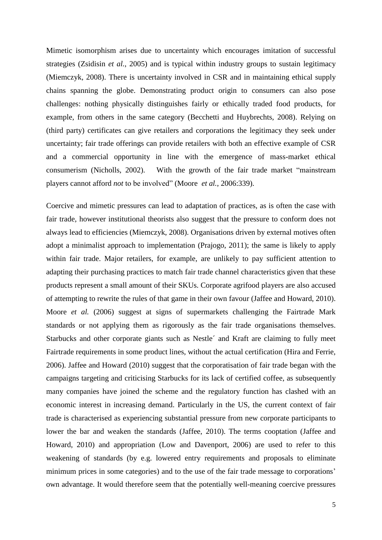Mimetic isomorphism arises due to uncertainty which encourages imitation of successful strategies [\(Zsidisin](#page-15-0) *et al.*, 2005) and is typical within industry groups to sustain legitimacy [\(Miemczyk, 2008\)](#page-13-8). There is uncertainty involved in CSR and in maintaining ethical supply chains spanning the globe. Demonstrating product origin to consumers can also pose challenges: nothing physically distinguishes fairly or ethically traded food products, for example, from others in the same category [\(Becchetti and Huybrechts, 2008\)](#page-12-10). Relying on (third party) certificates can give retailers and corporations the legitimacy they seek under uncertainty; fair trade offerings can provide retailers with both an effective example of CSR and a commercial opportunity in line with the emergence of mass-market ethical consumerism [\(Nicholls, 2002\)](#page-14-9). With the growth of the fair trade market "mainstream players cannot afford *not* to be involved" (Moore *et al.*[, 2006:339\)](#page-14-10).

Coercive and mimetic pressures can lead to adaptation of practices, as is often the case with fair trade, however institutional theorists also suggest that the pressure to conform does not always lead to efficiencies [\(Miemczyk, 2008\)](#page-13-8). Organisations driven by external motives often adopt a minimalist approach to implementation [\(Prajogo, 2011\)](#page-14-11); the same is likely to apply within fair trade. Major retailers, for example, are unlikely to pay sufficient attention to adapting their purchasing practices to match fair trade channel characteristics given that these products represent a small amount of their SKUs. Corporate agrifood players are also accused of attempting to rewrite the rules of that game in their own favour [\(Jaffee and Howard, 2010\)](#page-13-9). Moore *et al.* [\(2006\)](#page-14-10) suggest at signs of supermarkets challenging the Fairtrade Mark standards or not applying them as rigorously as the fair trade organisations themselves. Starbucks and other corporate giants such as Nestle´ and Kraft are claiming to fully meet Fairtrade requirements in some product lines, without the actual certification [\(Hira and Ferrie,](#page-13-10)  [2006\)](#page-13-10). Jaffee and Howard [\(2010\)](#page-13-9) suggest that the corporatisation of fair trade began with the campaigns targeting and criticising Starbucks for its lack of certified coffee, as subsequently many companies have joined the scheme and the regulatory function has clashed with an economic interest in increasing demand. Particularly in the US, the current context of fair trade is characterised as experiencing substantial pressure from new corporate participants to lower the bar and weaken the standards [\(Jaffee, 2010\)](#page-13-11). The terms cooptation [\(Jaffee and](#page-13-9)  [Howard, 2010\)](#page-13-9) and appropriation [\(Low and Davenport, 2006\)](#page-13-12) are used to refer to this weakening of standards (by e.g. lowered entry requirements and proposals to eliminate minimum prices in some categories) and to the use of the fair trade message to corporations' own advantage. It would therefore seem that the potentially well-meaning coercive pressures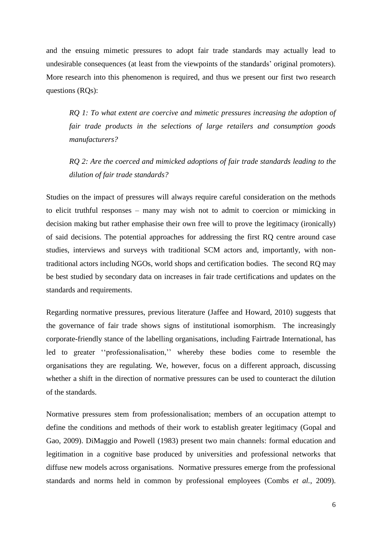and the ensuing mimetic pressures to adopt fair trade standards may actually lead to undesirable consequences (at least from the viewpoints of the standards' original promoters). More research into this phenomenon is required, and thus we present our first two research questions (RQs):

*RQ 1: To what extent are coercive and mimetic pressures increasing the adoption of fair trade products in the selections of large retailers and consumption goods manufacturers?*

*RQ 2: Are the coerced and mimicked adoptions of fair trade standards leading to the dilution of fair trade standards?*

Studies on the impact of pressures will always require careful consideration on the methods to elicit truthful responses – many may wish not to admit to coercion or mimicking in decision making but rather emphasise their own free will to prove the legitimacy (ironically) of said decisions. The potential approaches for addressing the first RQ centre around case studies, interviews and surveys with traditional SCM actors and, importantly, with nontraditional actors including NGOs, world shops and certification bodies. The second RQ may be best studied by secondary data on increases in fair trade certifications and updates on the standards and requirements.

Regarding normative pressures, previous literature [\(Jaffee and Howard, 2010\)](#page-13-9) suggests that the governance of fair trade shows signs of institutional isomorphism. The increasingly corporate-friendly stance of the labelling organisations, including Fairtrade International, has led to greater ''professionalisation,'' whereby these bodies come to resemble the organisations they are regulating. We, however, focus on a different approach, discussing whether a shift in the direction of normative pressures can be used to counteract the dilution of the standards.

Normative pressures stem from professionalisation; members of an occupation attempt to define the conditions and methods of their work to establish greater legitimacy [\(Gopal and](#page-13-13)  [Gao, 2009\)](#page-13-13). DiMaggio and Powell [\(1983\)](#page-12-9) present two main channels: formal education and legitimation in a cognitive base produced by universities and professional networks that diffuse new models across organisations. Normative pressures emerge from the professional standards and norms held in common by professional employees [\(Combs](#page-12-11) *et al.*, 2009).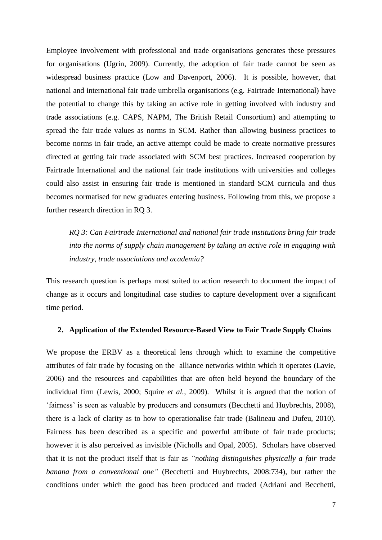Employee involvement with professional and trade organisations generates these pressures for organisations [\(Ugrin, 2009\)](#page-15-1). Currently, the adoption of fair trade cannot be seen as widespread business practice [\(Low and Davenport, 2006\)](#page-13-12). It is possible, however, that national and international fair trade umbrella organisations (e.g. Fairtrade International) have the potential to change this by taking an active role in getting involved with industry and trade associations (e.g. CAPS, NAPM, The British Retail Consortium) and attempting to spread the fair trade values as norms in SCM. Rather than allowing business practices to become norms in fair trade, an active attempt could be made to create normative pressures directed at getting fair trade associated with SCM best practices. Increased cooperation by Fairtrade International and the national fair trade institutions with universities and colleges could also assist in ensuring fair trade is mentioned in standard SCM curricula and thus becomes normatised for new graduates entering business. Following from this, we propose a further research direction in RQ 3.

*RQ 3: Can Fairtrade International and national fair trade institutions bring fair trade into the norms of supply chain management by taking an active role in engaging with industry, trade associations and academia?*

This research question is perhaps most suited to action research to document the impact of change as it occurs and longitudinal case studies to capture development over a significant time period.

#### **2. Application of the Extended Resource-Based View to Fair Trade Supply Chains**

We propose the ERBV as a theoretical lens through which to examine the competitive attributes of fair trade by focusing on the alliance networks within which it operates [\(Lavie,](#page-13-3)  [2006\)](#page-13-3) and the resources and capabilities that are often held beyond the boundary of the individual firm [\(Lewis, 2000;](#page-13-14) Squire *et al.*[, 2009\)](#page-14-12). Whilst it is argued that the notion of 'fairness' is seen as valuable by producers and consumers [\(Becchetti and Huybrechts, 2008\)](#page-12-10), there is a lack of clarity as to how to operationalise fair trade [\(Balineau and Dufeu, 2010\)](#page-12-12). Fairness has been described as a specific and powerful attribute of fair trade products; however it is also perceived as invisible [\(Nicholls and Opal, 2005\)](#page-14-13). Scholars have observed that it is not the product itself that is fair as *"nothing distinguishes physically a fair trade banana from a conventional one"* [\(Becchetti and Huybrechts, 2008:734\)](#page-12-10), but rather the conditions under which the good has been produced and traded [\(Adriani and Becchetti,](#page-12-4)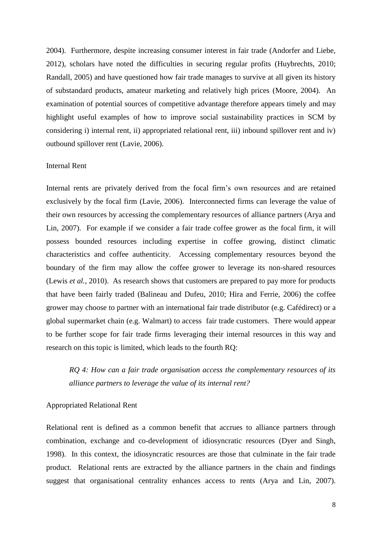[2004\)](#page-12-4). Furthermore, despite increasing consumer interest in fair trade [\(Andorfer and Liebe,](#page-12-13)  [2012\)](#page-12-13), scholars have noted the difficulties in securing regular profits [\(Huybrechts, 2010;](#page-13-15) [Randall, 2005\)](#page-14-7) and have questioned how fair trade manages to survive at all given its history of substandard products, amateur marketing and relatively high prices [\(Moore, 2004\)](#page-14-14). An examination of potential sources of competitive advantage therefore appears timely and may highlight useful examples of how to improve social sustainability practices in SCM by considering i) internal rent, ii) appropriated relational rent, iii) inbound spillover rent and iv) outbound spillover rent [\(Lavie, 2006\)](#page-13-3).

#### Internal Rent

Internal rents are privately derived from the focal firm's own resources and are retained exclusively by the focal firm [\(Lavie, 2006\)](#page-13-3). Interconnected firms can leverage the value of their own resources by accessing the complementary resources of alliance partners (Arya and Lin, 2007). For example if we consider a fair trade coffee grower as the focal firm, it will possess bounded resources including expertise in coffee growing, distinct climatic characteristics and coffee authenticity. Accessing complementary resources beyond the boundary of the firm may allow the coffee grower to leverage its non-shared resources (Lewis *et al.*[, 2010\)](#page-13-16). As research shows that customers are prepared to pay more for products that have been fairly traded [\(Balineau and Dufeu, 2010;](#page-12-12) [Hira and Ferrie, 2006\)](#page-13-10) the coffee grower may choose to partner with an international fair trade distributor (e.g. Cafédirect) or a global supermarket chain (e.g. Walmart) to access fair trade customers. There would appear to be further scope for fair trade firms leveraging their internal resources in this way and research on this topic is limited, which leads to the fourth RQ:

*RQ 4: How can a fair trade organisation access the complementary resources of its alliance partners to leverage the value of its internal rent?*

#### Appropriated Relational Rent

Relational rent is defined as a common benefit that accrues to alliance partners through combination, exchange and co-development of idiosyncratic resources [\(Dyer and Singh,](#page-12-14)  [1998\)](#page-12-14). In this context, the idiosyncratic resources are those that culminate in the fair trade product. Relational rents are extracted by the alliance partners in the chain and findings suggest that organisational centrality enhances access to rents [\(Arya and Lin, 2007\)](#page-12-15).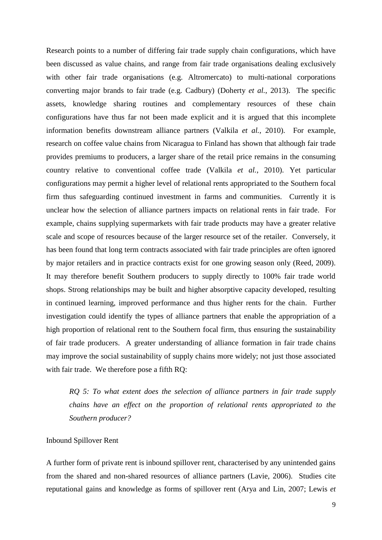Research points to a number of differing fair trade supply chain configurations, which have been discussed as value chains, and range from fair trade organisations dealing exclusively with other fair trade organisations (e.g. Altromercato) to multi-national corporations converting major brands to fair trade (e.g. Cadbury) [\(Doherty](#page-12-16) *et al.*, 2013). The specific assets, knowledge sharing routines and complementary resources of these chain configurations have thus far not been made explicit and it is argued that this incomplete information benefits downstream alliance partners [\(Valkila](#page-15-2) *et al.*, 2010). For example, research on coffee value chains from Nicaragua to Finland has shown that although fair trade provides premiums to producers, a larger share of the retail price remains in the consuming country relative to conventional coffee trade (Valkila *et al.*[, 2010\)](#page-15-2). Yet particular configurations may permit a higher level of relational rents appropriated to the Southern focal firm thus safeguarding continued investment in farms and communities. Currently it is unclear how the selection of alliance partners impacts on relational rents in fair trade. For example, chains supplying supermarkets with fair trade products may have a greater relative scale and scope of resources because of the larger resource set of the retailer. Conversely, it has been found that long term contracts associated with fair trade principles are often ignored by major retailers and in practice contracts exist for one growing season only [\(Reed, 2009\)](#page-14-15). It may therefore benefit Southern producers to supply directly to 100% fair trade world shops. Strong relationships may be built and higher absorptive capacity developed, resulting in continued learning, improved performance and thus higher rents for the chain. Further investigation could identify the types of alliance partners that enable the appropriation of a high proportion of relational rent to the Southern focal firm, thus ensuring the sustainability of fair trade producers. A greater understanding of alliance formation in fair trade chains may improve the social sustainability of supply chains more widely; not just those associated with fair trade. We therefore pose a fifth RQ:

*RQ 5: To what extent does the selection of alliance partners in fair trade supply chains have an effect on the proportion of relational rents appropriated to the Southern producer?*

## Inbound Spillover Rent

A further form of private rent is inbound spillover rent, characterised by any unintended gains from the shared and non-shared resources of alliance partners [\(Lavie, 2006\)](#page-13-3). Studies cite reputational gains and knowledge as forms of spillover rent [\(Arya and Lin, 2007;](#page-12-15) [Lewis](#page-13-16) *et*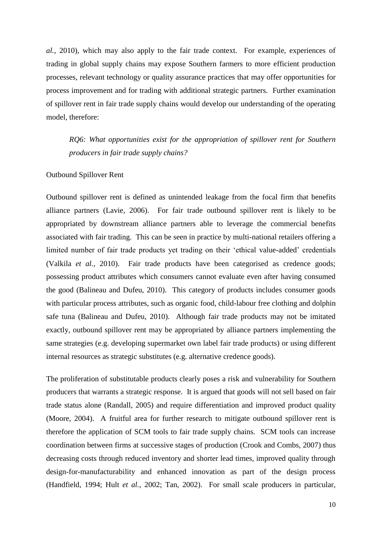*al.*[, 2010\)](#page-13-16), which may also apply to the fair trade context. For example, experiences of trading in global supply chains may expose Southern farmers to more efficient production processes, relevant technology or quality assurance practices that may offer opportunities for process improvement and for trading with additional strategic partners. Further examination of spillover rent in fair trade supply chains would develop our understanding of the operating model, therefore:

*RQ6: What opportunities exist for the appropriation of spillover rent for Southern producers in fair trade supply chains?*

#### Outbound Spillover Rent

Outbound spillover rent is defined as unintended leakage from the focal firm that benefits alliance partners [\(Lavie, 2006\)](#page-13-3). For fair trade outbound spillover rent is likely to be appropriated by downstream alliance partners able to leverage the commercial benefits associated with fair trading. This can be seen in practice by multi-national retailers offering a limited number of fair trade products yet trading on their 'ethical value-added' credentials [\(Valkila](#page-15-2) *et al.*, 2010). Fair trade products have been categorised as credence goods; possessing product attributes which consumers cannot evaluate even after having consumed the good (Balineau [and Dufeu, 2010\)](#page-12-12). This category of products includes consumer goods with particular process attributes, such as organic food, child-labour free clothing and dolphin safe tuna [\(Balineau and Dufeu, 2010\)](#page-12-12). Although fair trade products may not be imitated exactly, outbound spillover rent may be appropriated by alliance partners implementing the same strategies (e.g. developing supermarket own label fair trade products) or using different internal resources as strategic substitutes (e.g. alternative credence goods).

The proliferation of substitutable products clearly poses a risk and vulnerability for Southern producers that warrants a strategic response. It is argued that goods will not sell based on fair trade status alone [\(Randall, 2005\)](#page-14-7) and require differentiation and improved product quality [\(Moore, 2004\)](#page-14-14). A fruitful area for further research to mitigate outbound spillover rent is therefore the application of SCM tools to fair trade supply chains. SCM tools can increase coordination between firms at successive stages of production [\(Crook and Combs, 2007\)](#page-12-17) thus decreasing costs through reduced inventory and shorter lead times, improved quality through design-for-manufacturability and enhanced innovation as part of the design process [\(Handfield, 1994;](#page-13-17) Hult *et al.*[, 2002;](#page-13-18) [Tan, 2002\)](#page-15-3). For small scale producers in particular,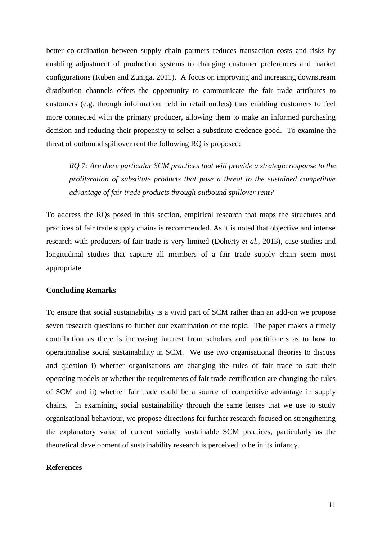better co-ordination between supply chain partners reduces transaction costs and risks by enabling adjustment of production systems to changing customer preferences and market configurations [\(Ruben and Zuniga, 2011\)](#page-14-16). A focus on improving and increasing downstream distribution channels offers the opportunity to communicate the fair trade attributes to customers (e.g. through information held in retail outlets) thus enabling customers to feel more connected with the primary producer, allowing them to make an informed purchasing decision and reducing their propensity to select a substitute credence good. To examine the threat of outbound spillover rent the following RQ is proposed:

*RQ 7: Are there particular SCM practices that will provide a strategic response to the proliferation of substitute products that pose a threat to the sustained competitive advantage of fair trade products through outbound spillover rent?*

To address the RQs posed in this section, empirical research that maps the structures and practices of fair trade supply chains is recommended. As it is noted that objective and intense research with producers of fair trade is very limited [\(Doherty](#page-12-16) *et al.*, 2013), case studies and longitudinal studies that capture all members of a fair trade supply chain seem most appropriate.

### **Concluding Remarks**

To ensure that social sustainability is a vivid part of SCM rather than an add-on we propose seven research questions to further our examination of the topic. The paper makes a timely contribution as there is increasing interest from scholars and practitioners as to how to operationalise social sustainability in SCM. We use two organisational theories to discuss and question i) whether organisations are changing the rules of fair trade to suit their operating models or whether the requirements of fair trade certification are changing the rules of SCM and ii) whether fair trade could be a source of competitive advantage in supply chains. In examining social sustainability through the same lenses that we use to study organisational behaviour, we propose directions for further research focused on strengthening the explanatory value of current socially sustainable SCM practices, particularly as the theoretical development of sustainability research is perceived to be in its infancy.

#### **References**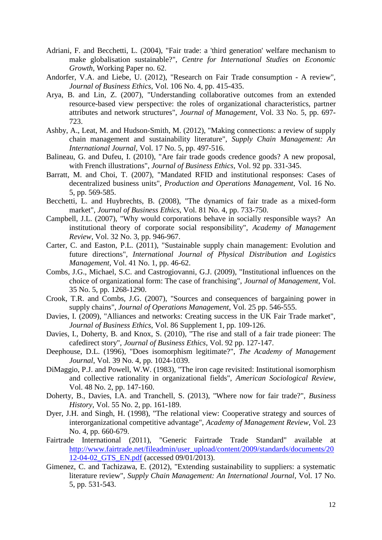- <span id="page-12-4"></span>Adriani, F. and Becchetti, L. (2004), "Fair trade: a 'third generation' welfare mechanism to make globalisation sustainable?", *Centre for International Studies on Economic Growth*, Working Paper no. 62.
- <span id="page-12-13"></span>Andorfer, V.A. and Liebe, U. (2012), "Research on Fair Trade consumption - A review", *Journal of Business Ethics*, Vol. 106 No. 4, pp. 415-435.
- <span id="page-12-15"></span>Arya, B. and Lin, Z. (2007), "Understanding collaborative outcomes from an extended resource-based view perspective: the roles of organizational characteristics, partner attributes and network structures", *Journal of Management*, Vol. 33 No. 5, pp. 697- 723.
- <span id="page-12-2"></span>Ashby, A., Leat, M. and Hudson-Smith, M. (2012), "Making connections: a review of supply chain management and sustainability literature", *Supply Chain Management: An International Journal*, Vol. 17 No. 5, pp. 497-516.
- <span id="page-12-12"></span>Balineau, G. and Dufeu, I. (2010), "Are fair trade goods credence goods? A new proposal, with French illustrations", *Journal of Business Ethics*, Vol. 92 pp. 331-345.
- <span id="page-12-8"></span>Barratt, M. and Choi, T. (2007), "Mandated RFID and institutional responses: Cases of decentralized business units", *Production and Operations Management*, Vol. 16 No. 5, pp. 569-585.
- <span id="page-12-10"></span>Becchetti, L. and Huybrechts, B. (2008), "The dynamics of fair trade as a mixed-form market", *Journal of Business Ethics*, Vol. 81 No. 4, pp. 733-750.
- <span id="page-12-6"></span>Campbell, J.L. (2007), "Why would corporations behave in socially responsible ways? An institutional theory of corporate social responsibility", *Academy of Management Review*, Vol. 32 No. 3, pp. 946-967.
- <span id="page-12-0"></span>Carter, C. and Easton, P.L. (2011), "Sustainable supply chain management: Evolution and future directions", *International Journal of Physical Distribution and Logistics Management*, Vol. 41 No. 1, pp. 46-62.
- <span id="page-12-11"></span>Combs, J.G., Michael, S.C. and Castrogiovanni, G.J. (2009), "Institutional influences on the choice of organizational form: The case of franchising", *Journal of Management*, Vol. 35 No. 5, pp. 1268-1290.
- <span id="page-12-17"></span>Crook, T.R. and Combs, J.G. (2007), "Sources and consequences of bargaining power in supply chains", *Journal of Operations Management*, Vol. 25 pp. 546-555.
- <span id="page-12-3"></span>Davies, I. (2009), "Alliances and networks: Creating success in the UK Fair Trade market", *Journal of Business Ethics*, Vol. 86 Supplement 1, pp. 109-126.
- <span id="page-12-5"></span>Davies, I., Doherty, B. and Knox, S. (2010), "The rise and stall of a fair trade pioneer: The cafedirect story", *Journal of Business Ethics*, Vol. 92 pp. 127-147.
- <span id="page-12-7"></span>Deephouse, D.L. (1996), "Does isomorphism legitimate?", *The Academy of Management Journal*, Vol. 39 No. 4, pp. 1024-1039.
- <span id="page-12-9"></span>DiMaggio, P.J. and Powell, W.W. (1983), "The iron cage revisited: Institutional isomorphism and collective rationality in organizational fields", *American Sociological Review*, Vol. 48 No. 2, pp. 147-160.
- <span id="page-12-16"></span>Doherty, B., Davies, I.A. and Tranchell, S. (2013), "Where now for fair trade?", *Business History*, Vol. 55 No. 2, pp. 161-189.
- <span id="page-12-14"></span>Dyer, J.H. and Singh, H. (1998), "The relational view: Cooperative strategy and sources of interorganizational competitive advantage", *Academy of Management Review*, Vol. 23 No. 4, pp. 660-679.
- Fairtrade International (2011), "Generic Fairtrade Trade Standard" available at [http://www.fairtrade.net/fileadmin/user\\_upload/content/2009/standards/documents/20](http://www.fairtrade.net/fileadmin/user_upload/content/2009/standards/documents/2012-04-02_GTS_EN.pdf) [12-04-02\\_GTS\\_EN.pdf](http://www.fairtrade.net/fileadmin/user_upload/content/2009/standards/documents/2012-04-02_GTS_EN.pdf) (accessed 09/01/2013).
- <span id="page-12-1"></span>Gimenez, C. and Tachizawa, E. (2012), "Extending sustainability to suppliers: a systematic literature review", *Supply Chain Management: An International Journal*, Vol. 17 No. 5, pp. 531-543.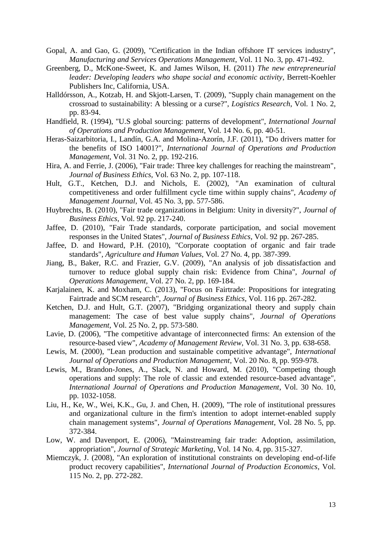- <span id="page-13-13"></span>Gopal, A. and Gao, G. (2009), "Certification in the Indian offshore IT services industry", *Manufacturing and Services Operations Management*, Vol. 11 No. 3, pp. 471-492.
- <span id="page-13-1"></span>Greenberg, D., McKone-Sweet, K. and James Wilson, H. (2011) *The new entrepreneurial leader: Developing leaders who shape social and economic activity*, Berrett-Koehler Publishers Inc, California, USA.
- <span id="page-13-4"></span>Halldórsson, A., Kotzab, H. and Skjott-Larsen, T. (2009), "Supply chain management on the crossroad to sustainability: A blessing or a curse?", *Logistics Research*, Vol. 1 No. 2, pp. 83-94.
- <span id="page-13-17"></span>Handfield, R. (1994), "U.S global sourcing: patterns of development", *International Journal of Operations and Production Management*, Vol. 14 No. 6, pp. 40-51.
- <span id="page-13-5"></span>Heras-Saizarbitoria, I., Landín, G.A. and Molina-Azorín, J.F. (2011), "Do drivers matter for the benefits of ISO 14001?", *International Journal of Operations and Production Management*, Vol. 31 No. 2, pp. 192-216.
- <span id="page-13-10"></span>Hira, A. and Ferrie, J. (2006), "Fair trade: Three key challenges for reaching the mainstream", *Journal of Business Ethics*, Vol. 63 No. 2, pp. 107-118.
- <span id="page-13-18"></span>Hult, G.T., Ketchen, D.J. and Nichols, E. (2002), "An examination of cultural competitiveness and order fulfillment cycle time within supply chains", *Academy of Management Journal*, Vol. 45 No. 3, pp. 577-586.
- <span id="page-13-15"></span>Huybrechts, B. (2010), "Fair trade organizations in Belgium: Unity in diversity?", *Journal of Business Ethics*, Vol. 92 pp. 217-240.
- <span id="page-13-11"></span>Jaffee, D. (2010), "Fair Trade standards, corporate participation, and social movement responses in the United States", *Journal of Business Ethics*, Vol. 92 pp. 267-285.
- <span id="page-13-9"></span>Jaffee, D. and Howard, P.H. (2010), "Corporate cooptation of organic and fair trade standards", *Agriculture and Human Values*, Vol. 27 No. 4, pp. 387-399.
- <span id="page-13-7"></span>Jiang, B., Baker, R.C. and Frazier, G.V. (2009), "An analysis of job dissatisfaction and turnover to reduce global supply chain risk: Evidence from China", *Journal of Operations Management*, Vol. 27 No. 2, pp. 169-184.
- <span id="page-13-0"></span>Karjalainen, K. and Moxham, C. (2013), "Focus on Fairtrade: Propositions for integrating Fairtrade and SCM research", *Journal of Business Ethics*, Vol. 116 pp. 267-282.
- <span id="page-13-2"></span>Ketchen, D.J. and Hult, G.T. (2007), "Bridging organizational theory and supply chain management: The case of best value supply chains", *Journal of Operations Management*, Vol. 25 No. 2, pp. 573-580.
- <span id="page-13-3"></span>Lavie, D. (2006), "The competitive advantage of interconnected firms: An extension of the resource-based view", *Academy of Management Review*, Vol. 31 No. 3, pp. 638-658.
- <span id="page-13-14"></span>Lewis, M. (2000), "Lean production and sustainable competitive advantage", *International Journal of Operations and Production Management*, Vol. 20 No. 8, pp. 959-978.
- <span id="page-13-16"></span>Lewis, M., Brandon-Jones, A., Slack, N. and Howard, M. (2010), "Competing though operations and supply: The role of classic and extended resource-based advantage", *International Journal of Operations and Production Management*, Vol. 30 No. 10, pp. 1032-1058.
- <span id="page-13-6"></span>Liu, H., Ke, W., Wei, K.K., Gu, J. and Chen, H. (2009), "The role of institutional pressures and organizational culture in the firm's intention to adopt internet-enabled supply chain management systems", *Journal of Operations Management*, Vol. 28 No. 5, pp. 372-384.
- <span id="page-13-12"></span>Low, W. and Davenport, E. (2006), "Mainstreaming fair trade: Adoption, assimilation, appropriation", *Journal of Strategic Marketing*, Vol. 14 No. 4, pp. 315-327.
- <span id="page-13-8"></span>Miemczyk, J. (2008), "An exploration of institutional constraints on developing end-of-life product recovery capabilities", *International Journal of Production Economics*, Vol. 115 No. 2, pp. 272-282.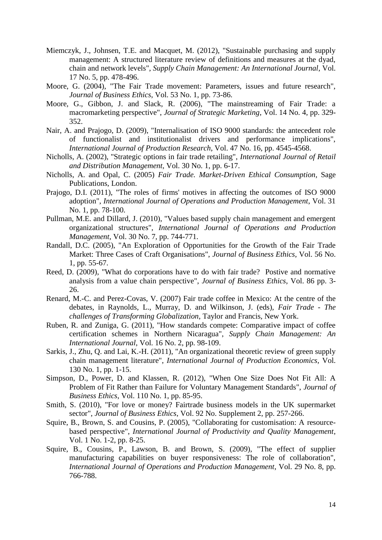- <span id="page-14-0"></span>Miemczyk, J., Johnsen, T.E. and Macquet, M. (2012), "Sustainable purchasing and supply management: A structured literature review of definitions and measures at the dyad, chain and network levels", *Supply Chain Management: An International Journal*, Vol. 17 No. 5, pp. 478-496.
- <span id="page-14-14"></span>Moore, G. (2004), "The Fair Trade movement: Parameters, issues and future research", *Journal of Business Ethics*, Vol. 53 No. 1, pp. 73-86.
- <span id="page-14-10"></span>Moore, G., Gibbon, J. and Slack, R. (2006), "The mainstreaming of Fair Trade: a macromarketing perspective", *Journal of Strategic Marketing*, Vol. 14 No. 4, pp. 329- 352.
- <span id="page-14-5"></span>Nair, A. and Prajogo, D. (2009), "Internalisation of ISO 9000 standards: the antecedent role of functionalist and institutionalist drivers and performance implications", *International Journal of Production Research*, Vol. 47 No. 16, pp. 4545-4568.
- <span id="page-14-9"></span>Nicholls, A. (2002), "Strategic options in fair trade retailing", *International Journal of Retail and Distribution Management*, Vol. 30 No. 1, pp. 6-17.
- <span id="page-14-13"></span>Nicholls, A. and Opal, C. (2005) *Fair Trade. Market-Driven Ethical Consumption*, Sage Publications, London.
- <span id="page-14-11"></span>Prajogo, D.I. (2011), "The roles of firms' motives in affecting the outcomes of ISO 9000 adoption", *International Journal of Operations and Production Management*, Vol. 31 No. 1, pp. 78-100.
- <span id="page-14-3"></span>Pullman, M.E. and Dillard, J. (2010), "Values based supply chain management and emergent organizational structures", *International Journal of Operations and Production Management*, Vol. 30 No. 7, pp. 744-771.
- <span id="page-14-7"></span>Randall, D.C. (2005), "An Exploration of Opportunities for the Growth of the Fair Trade Market: Three Cases of Craft Organisations", *Journal of Business Ethics*, Vol. 56 No. 1, pp. 55-67.
- <span id="page-14-15"></span>Reed, D. (2009), "What do corporations have to do with fair trade? Postive and normative analysis from a value chain perspective", *Journal of Business Ethics*, Vol. 86 pp. 3- 26.
- <span id="page-14-2"></span>Renard, M.-C. and Perez-Covas, V. (2007) Fair trade coffee in Mexico: At the centre of the debates, in Raynolds, L., Murray, D. and Wilkinson, J. (eds), *Fair Trade - The challenges of Transforming Globalization*, Taylor and Francis, New York.
- <span id="page-14-16"></span>Ruben, R. and Zuniga, G. (2011), "How standards compete: Comparative impact of coffee certification schemes in Northern Nicaragua", *Supply Chain Management: An International Journal*, Vol. 16 No. 2, pp. 98-109.
- <span id="page-14-1"></span>Sarkis, J., Zhu, Q. and Lai, K.-H. (2011), "An organizational theoretic review of green supply chain management literature", *International Journal of Production Economics*, Vol. 130 No. 1, pp. 1-15.
- <span id="page-14-6"></span>Simpson, D., Power, D. and Klassen, R. (2012), "When One Size Does Not Fit All: A Problem of Fit Rather than Failure for Voluntary Management Standards", *Journal of Business Ethics*, Vol. 110 No. 1, pp. 85-95.
- <span id="page-14-8"></span>Smith, S. (2010), "For love or money? Fairtrade business models in the UK supermarket sector", *Journal of Business Ethics*, Vol. 92 No. Supplement 2, pp. 257-266.
- <span id="page-14-4"></span>Squire, B., Brown, S. and Cousins, P. (2005), "Collaborating for customisation: A resourcebased perspective", *International Journal of Productivity and Quality Management*, Vol. 1 No. 1-2, pp. 8-25.
- <span id="page-14-12"></span>Squire, B., Cousins, P., Lawson, B. and Brown, S. (2009), "The effect of supplier manufacturing capabilities on buyer responsiveness: The role of collaboration", *International Journal of Operations and Production Management*, Vol. 29 No. 8, pp. 766-788.